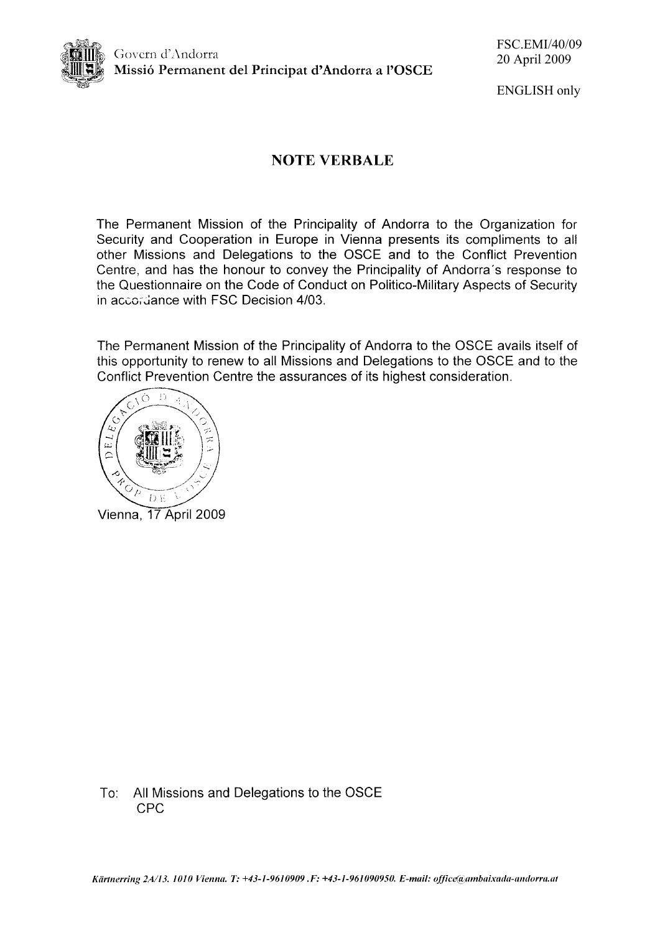

**ENGLISH** only

# **NOTE VERBALE**

The Permanent Mission of the Principality of Andorra to the Organization for Security and Cooperation in Europe in Vienna presents its compliments to all other Missions and Delegations to the OSCE and to the Conflict Prevention Centre, and has the honour to convey the Principality of Andorra's response to the Questionnaire on the Code of Conduct on Politico-Military Aspects of Security in accordance with FSC Decision 4/03.

The Permanent Mission of the Principality of Andorra to the OSCE avails itself of this opportunity to renew to all Missions and Delegations to the OSCE and to the Conflict Prevention Centre the assurances of its highest consideration.



Vienna, 17 April 2009

All Missions and Delegations to the OSCE To: **CPC**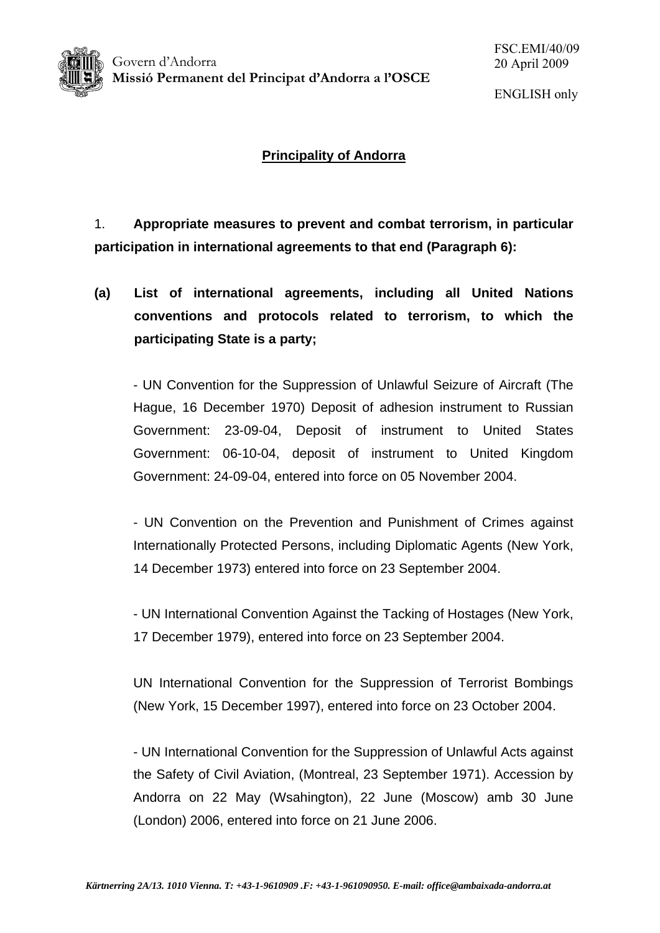

Govern d'Andorra **Missió Permanent del Principat d'Andorra a l'OSCE** 

# **Principality of Andorra**

1. **Appropriate measures to prevent and combat terrorism, in particular participation in international agreements to that end (Paragraph 6):** 

**(a) List of international agreements, including all United Nations conventions and protocols related to terrorism, to which the participating State is a party;** 

- UN Convention for the Suppression of Unlawful Seizure of Aircraft (The Hague, 16 December 1970) Deposit of adhesion instrument to Russian Government: 23-09-04, Deposit of instrument to United States Government: 06-10-04, deposit of instrument to United Kingdom Government: 24-09-04, entered into force on 05 November 2004.

- UN Convention on the Prevention and Punishment of Crimes against Internationally Protected Persons, including Diplomatic Agents (New York, 14 December 1973) entered into force on 23 September 2004.

- UN International Convention Against the Tacking of Hostages (New York, 17 December 1979), entered into force on 23 September 2004.

UN International Convention for the Suppression of Terrorist Bombings (New York, 15 December 1997), entered into force on 23 October 2004.

- UN International Convention for the Suppression of Unlawful Acts against the Safety of Civil Aviation, (Montreal, 23 September 1971). Accession by Andorra on 22 May (Wsahington), 22 June (Moscow) amb 30 June (London) 2006, entered into force on 21 June 2006.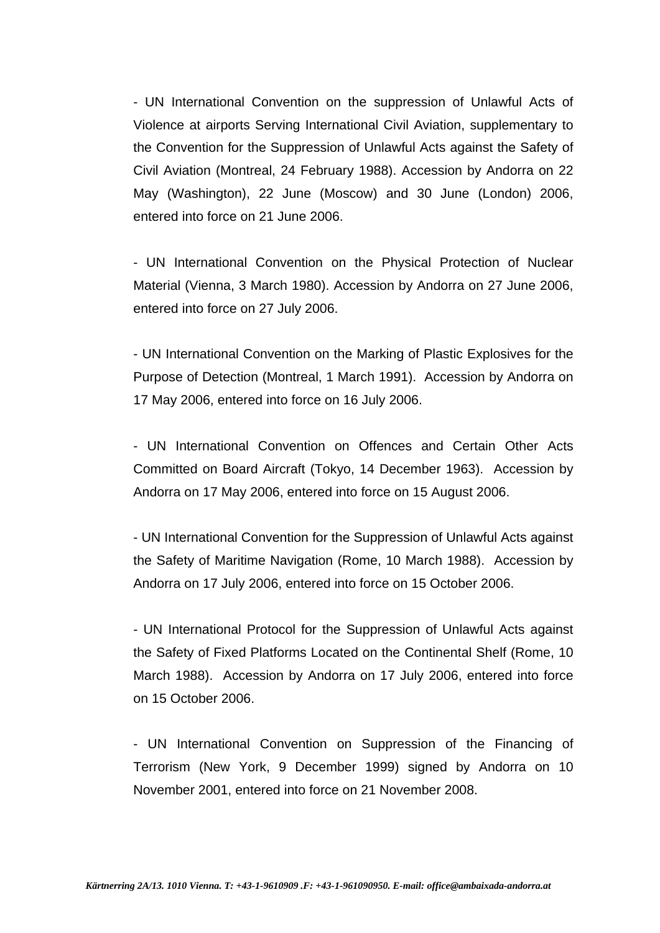- UN International Convention on the suppression of Unlawful Acts of Violence at airports Serving International Civil Aviation, supplementary to the Convention for the Suppression of Unlawful Acts against the Safety of Civil Aviation (Montreal, 24 February 1988). Accession by Andorra on 22 May (Washington), 22 June (Moscow) and 30 June (London) 2006, entered into force on 21 June 2006.

- UN International Convention on the Physical Protection of Nuclear Material (Vienna, 3 March 1980). Accession by Andorra on 27 June 2006, entered into force on 27 July 2006.

- UN International Convention on the Marking of Plastic Explosives for the Purpose of Detection (Montreal, 1 March 1991). Accession by Andorra on 17 May 2006, entered into force on 16 July 2006.

- UN International Convention on Offences and Certain Other Acts Committed on Board Aircraft (Tokyo, 14 December 1963). Accession by Andorra on 17 May 2006, entered into force on 15 August 2006.

- UN International Convention for the Suppression of Unlawful Acts against the Safety of Maritime Navigation (Rome, 10 March 1988). Accession by Andorra on 17 July 2006, entered into force on 15 October 2006.

- UN International Protocol for the Suppression of Unlawful Acts against the Safety of Fixed Platforms Located on the Continental Shelf (Rome, 10 March 1988). Accession by Andorra on 17 July 2006, entered into force on 15 October 2006.

- UN International Convention on Suppression of the Financing of Terrorism (New York, 9 December 1999) signed by Andorra on 10 November 2001, entered into force on 21 November 2008.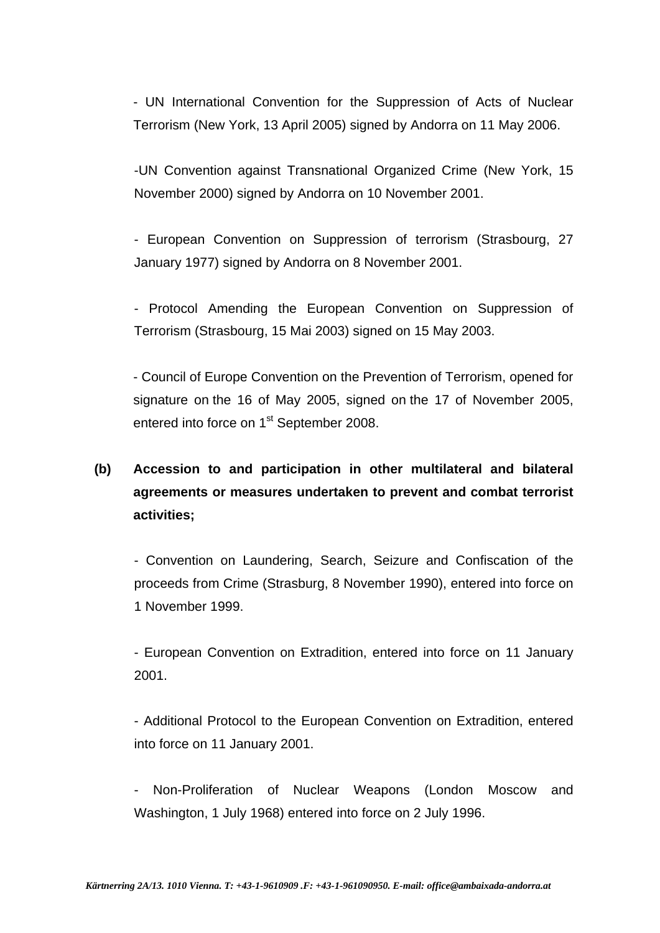- UN International Convention for the Suppression of Acts of Nuclear Terrorism (New York, 13 April 2005) signed by Andorra on 11 May 2006.

-UN Convention against Transnational Organized Crime (New York, 15 November 2000) signed by Andorra on 10 November 2001.

- European Convention on Suppression of terrorism (Strasbourg, 27 January 1977) signed by Andorra on 8 November 2001.

- Protocol Amending the European Convention on Suppression of Terrorism (Strasbourg, 15 Mai 2003) signed on 15 May 2003.

- Council of Europe Convention on the Prevention of Terrorism, opened for signature on the 16 of May 2005, signed on the 17 of November 2005, entered into force on 1<sup>st</sup> September 2008.

# **(b) Accession to and participation in other multilateral and bilateral agreements or measures undertaken to prevent and combat terrorist activities;**

- Convention on Laundering, Search, Seizure and Confiscation of the proceeds from Crime (Strasburg, 8 November 1990), entered into force on 1 November 1999.

- European Convention on Extradition, entered into force on 11 January 2001.

- Additional Protocol to the European Convention on Extradition, entered into force on 11 January 2001.

- Non-Proliferation of Nuclear Weapons (London Moscow and Washington, 1 July 1968) entered into force on 2 July 1996.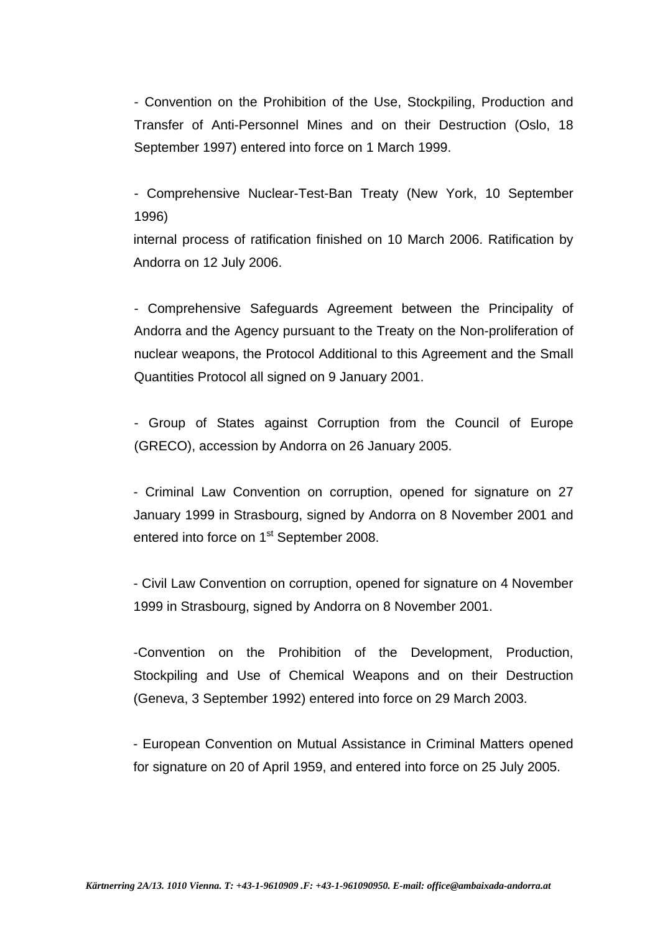- Convention on the Prohibition of the Use, Stockpiling, Production and Transfer of Anti-Personnel Mines and on their Destruction (Oslo, 18 September 1997) entered into force on 1 March 1999.

- Comprehensive Nuclear-Test-Ban Treaty (New York, 10 September 1996)

internal process of ratification finished on 10 March 2006. Ratification by Andorra on 12 July 2006.

- Comprehensive Safeguards Agreement between the Principality of Andorra and the Agency pursuant to the Treaty on the Non-proliferation of nuclear weapons, the Protocol Additional to this Agreement and the Small Quantities Protocol all signed on 9 January 2001.

- Group of States against Corruption from the Council of Europe (GRECO), accession by Andorra on 26 January 2005.

- Criminal Law Convention on corruption, opened for signature on 27 January 1999 in Strasbourg, signed by Andorra on 8 November 2001 and entered into force on 1<sup>st</sup> September 2008.

- Civil Law Convention on corruption, opened for signature on 4 November 1999 in Strasbourg, signed by Andorra on 8 November 2001.

-Convention on the Prohibition of the Development, Production, Stockpiling and Use of Chemical Weapons and on their Destruction (Geneva, 3 September 1992) entered into force on 29 March 2003.

- European Convention on Mutual Assistance in Criminal Matters opened for signature on 20 of April 1959, and entered into force on 25 July 2005.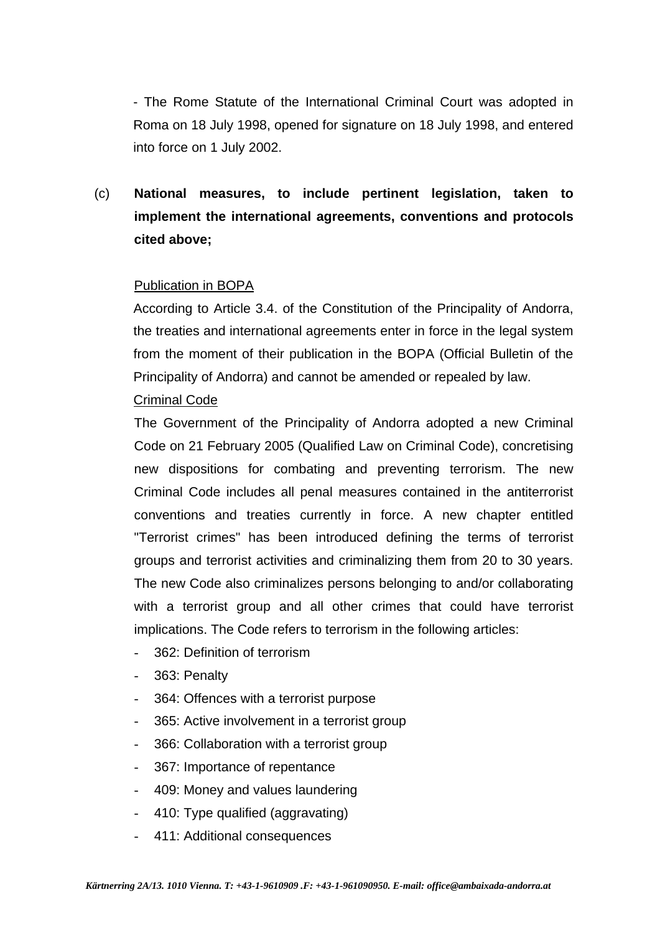- The Rome Statute of the International Criminal Court was adopted in Roma on 18 July 1998, opened for signature on 18 July 1998, and entered into force on 1 July 2002.

(c) **National measures, to include pertinent legislation, taken to implement the international agreements, conventions and protocols cited above;** 

### Publication in BOPA

According to Article 3.4. of the Constitution of the Principality of Andorra, the treaties and international agreements enter in force in the legal system from the moment of their publication in the BOPA (Official Bulletin of the Principality of Andorra) and cannot be amended or repealed by law.

#### Criminal Code

The Government of the Principality of Andorra adopted a new Criminal Code on 21 February 2005 (Qualified Law on Criminal Code), concretising new dispositions for combating and preventing terrorism. The new Criminal Code includes all penal measures contained in the antiterrorist conventions and treaties currently in force. A new chapter entitled "Terrorist crimes" has been introduced defining the terms of terrorist groups and terrorist activities and criminalizing them from 20 to 30 years. The new Code also criminalizes persons belonging to and/or collaborating with a terrorist group and all other crimes that could have terrorist implications. The Code refers to terrorism in the following articles:

- 362: Definition of terrorism
- 363: Penalty
- 364: Offences with a terrorist purpose
- 365: Active involvement in a terrorist group
- 366: Collaboration with a terrorist group
- 367: Importance of repentance
- 409: Money and values laundering
- 410: Type qualified (aggravating)
- 411: Additional consequences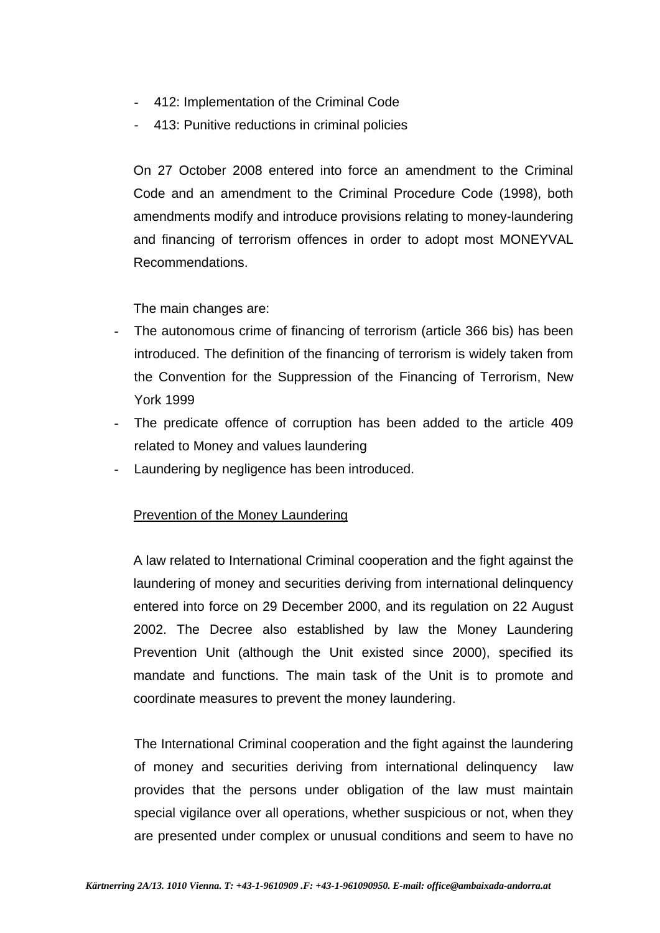- 412: Implementation of the Criminal Code
- 413: Punitive reductions in criminal policies

On 27 October 2008 entered into force an amendment to the Criminal Code and an amendment to the Criminal Procedure Code (1998), both amendments modify and introduce provisions relating to money-laundering and financing of terrorism offences in order to adopt most MONEYVAL Recommendations.

The main changes are:

- The autonomous crime of financing of terrorism (article 366 bis) has been introduced. The definition of the financing of terrorism is widely taken from the Convention for the Suppression of the Financing of Terrorism, New York 1999
- The predicate offence of corruption has been added to the article 409 related to Money and values laundering
- Laundering by negligence has been introduced.

### Prevention of the Money Laundering

A law related to International Criminal cooperation and the fight against the laundering of money and securities deriving from international delinquency entered into force on 29 December 2000, and its regulation on 22 August 2002. The Decree also established by law the Money Laundering Prevention Unit (although the Unit existed since 2000), specified its mandate and functions. The main task of the Unit is to promote and coordinate measures to prevent the money laundering.

The International Criminal cooperation and the fight against the laundering of money and securities deriving from international delinquency law provides that the persons under obligation of the law must maintain special vigilance over all operations, whether suspicious or not, when they are presented under complex or unusual conditions and seem to have no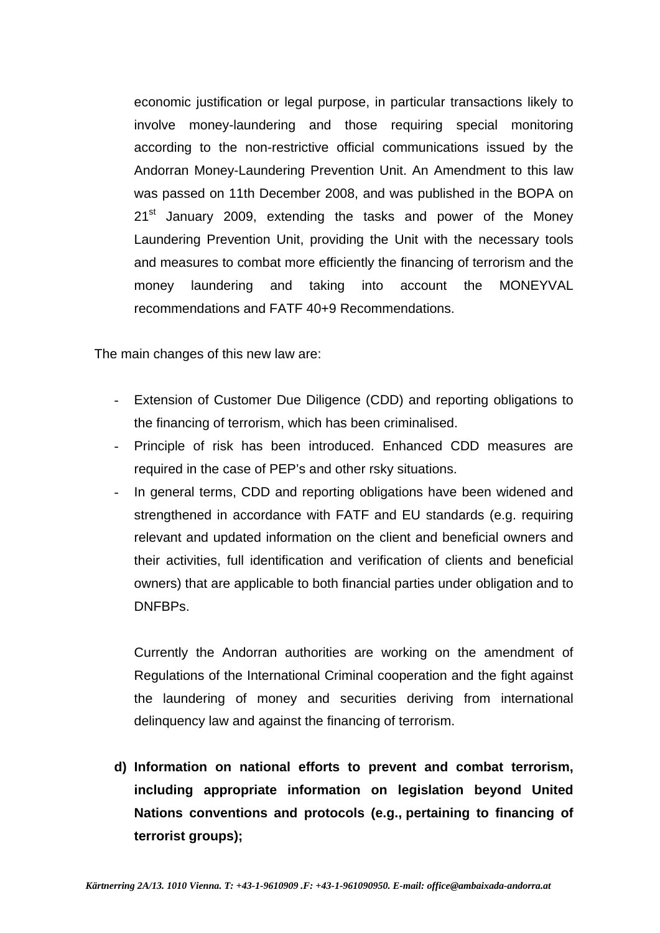economic justification or legal purpose, in particular transactions likely to involve money-laundering and those requiring special monitoring according to the non-restrictive official communications issued by the Andorran Money-Laundering Prevention Unit. An Amendment to this law was passed on 11th December 2008, and was published in the BOPA on  $21<sup>st</sup>$  January 2009, extending the tasks and power of the Money Laundering Prevention Unit, providing the Unit with the necessary tools and measures to combat more efficiently the financing of terrorism and the money laundering and taking into account the MONEYVAL recommendations and FATF 40+9 Recommendations.

The main changes of this new law are:

- Extension of Customer Due Diligence (CDD) and reporting obligations to the financing of terrorism, which has been criminalised.
- Principle of risk has been introduced. Enhanced CDD measures are required in the case of PEP's and other rsky situations.
- In general terms, CDD and reporting obligations have been widened and strengthened in accordance with FATF and EU standards (e.g. requiring relevant and updated information on the client and beneficial owners and their activities, full identification and verification of clients and beneficial owners) that are applicable to both financial parties under obligation and to DNFBPs.

Currently the Andorran authorities are working on the amendment of Regulations of the International Criminal cooperation and the fight against the laundering of money and securities deriving from international delinquency law and against the financing of terrorism.

**d) Information on national efforts to prevent and combat terrorism, including appropriate information on legislation beyond United Nations conventions and protocols (e.g., pertaining to financing of terrorist groups);**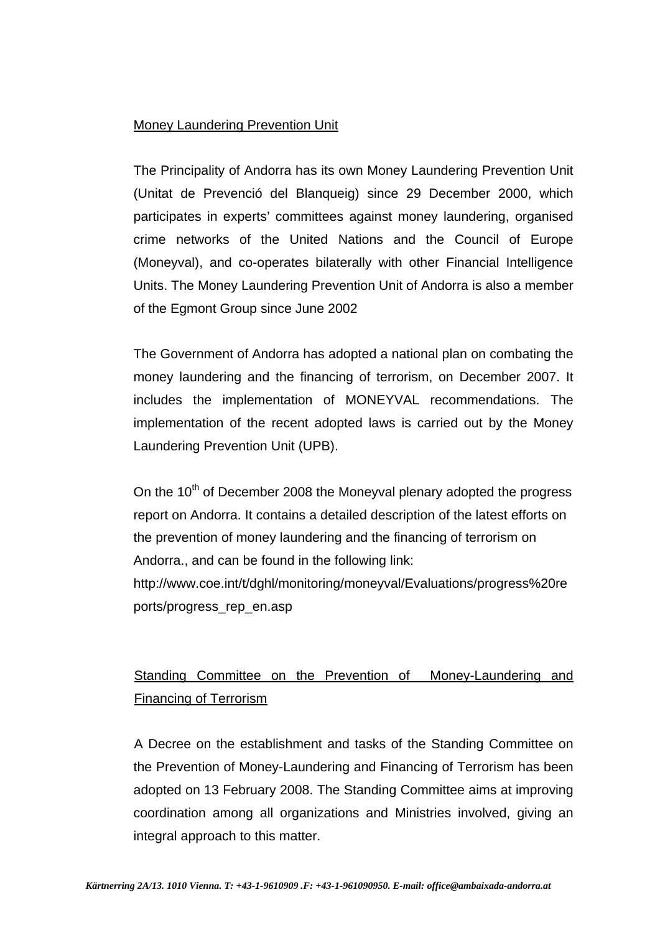## Money Laundering Prevention Unit

The Principality of Andorra has its own Money Laundering Prevention Unit (Unitat de Prevenció del Blanqueig) since 29 December 2000, which participates in experts' committees against money laundering, organised crime networks of the United Nations and the Council of Europe (Moneyval), and co-operates bilaterally with other Financial Intelligence Units. The Money Laundering Prevention Unit of Andorra is also a member of the Egmont Group since June 2002

The Government of Andorra has adopted a national plan on combating the money laundering and the financing of terrorism, on December 2007. It includes the implementation of MONEYVAL recommendations. The implementation of the recent adopted laws is carried out by the Money Laundering Prevention Unit (UPB).

On the  $10^{th}$  of December 2008 the Moneyval plenary adopted the progress report on Andorra. It contains a detailed description of the latest efforts on the prevention of money laundering and the financing of terrorism on Andorra., and can be found in the following link: http://www.coe.int/t/dghl/monitoring/moneyval/Evaluations/progress%20re ports/progress\_rep\_en.asp

# Standing Committee on the Prevention of Money-Laundering and Financing of Terrorism

A Decree on the establishment and tasks of the Standing Committee on the Prevention of Money-Laundering and Financing of Terrorism has been adopted on 13 February 2008. The Standing Committee aims at improving coordination among all organizations and Ministries involved, giving an integral approach to this matter.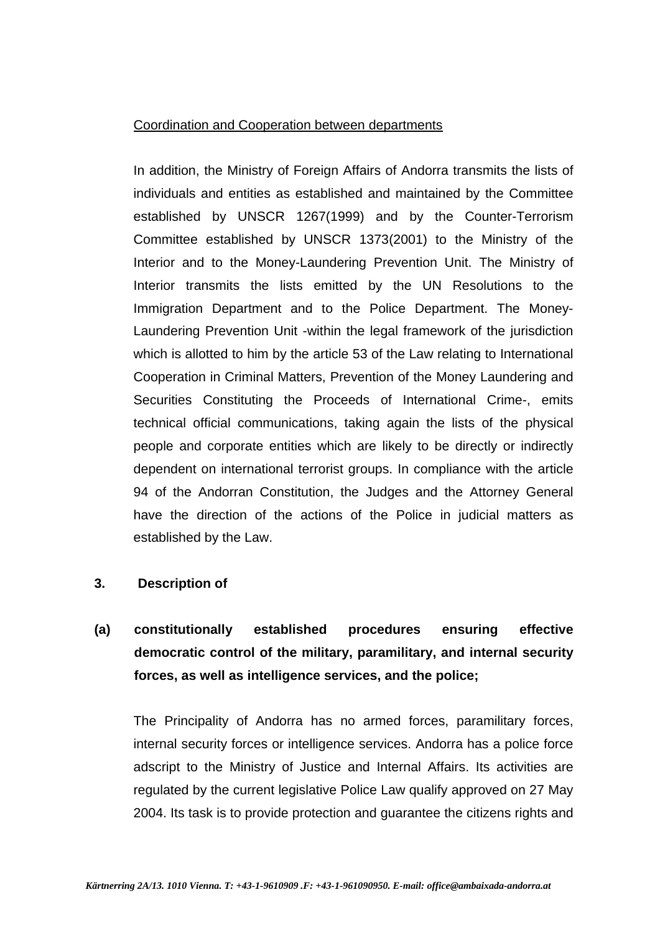### Coordination and Cooperation between departments

In addition, the Ministry of Foreign Affairs of Andorra transmits the lists of individuals and entities as established and maintained by the Committee established by UNSCR 1267(1999) and by the Counter-Terrorism Committee established by UNSCR 1373(2001) to the Ministry of the Interior and to the Money-Laundering Prevention Unit. The Ministry of Interior transmits the lists emitted by the UN Resolutions to the Immigration Department and to the Police Department. The Money-Laundering Prevention Unit -within the legal framework of the jurisdiction which is allotted to him by the article 53 of the Law relating to International Cooperation in Criminal Matters, Prevention of the Money Laundering and Securities Constituting the Proceeds of International Crime-, emits technical official communications, taking again the lists of the physical people and corporate entities which are likely to be directly or indirectly dependent on international terrorist groups. In compliance with the article 94 of the Andorran Constitution, the Judges and the Attorney General have the direction of the actions of the Police in judicial matters as established by the Law.

### **3. Description of**

# **(a) constitutionally established procedures ensuring effective democratic control of the military, paramilitary, and internal security forces, as well as intelligence services, and the police;**

The Principality of Andorra has no armed forces, paramilitary forces, internal security forces or intelligence services. Andorra has a police force adscript to the Ministry of Justice and Internal Affairs. Its activities are regulated by the current legislative Police Law qualify approved on 27 May 2004. Its task is to provide protection and guarantee the citizens rights and